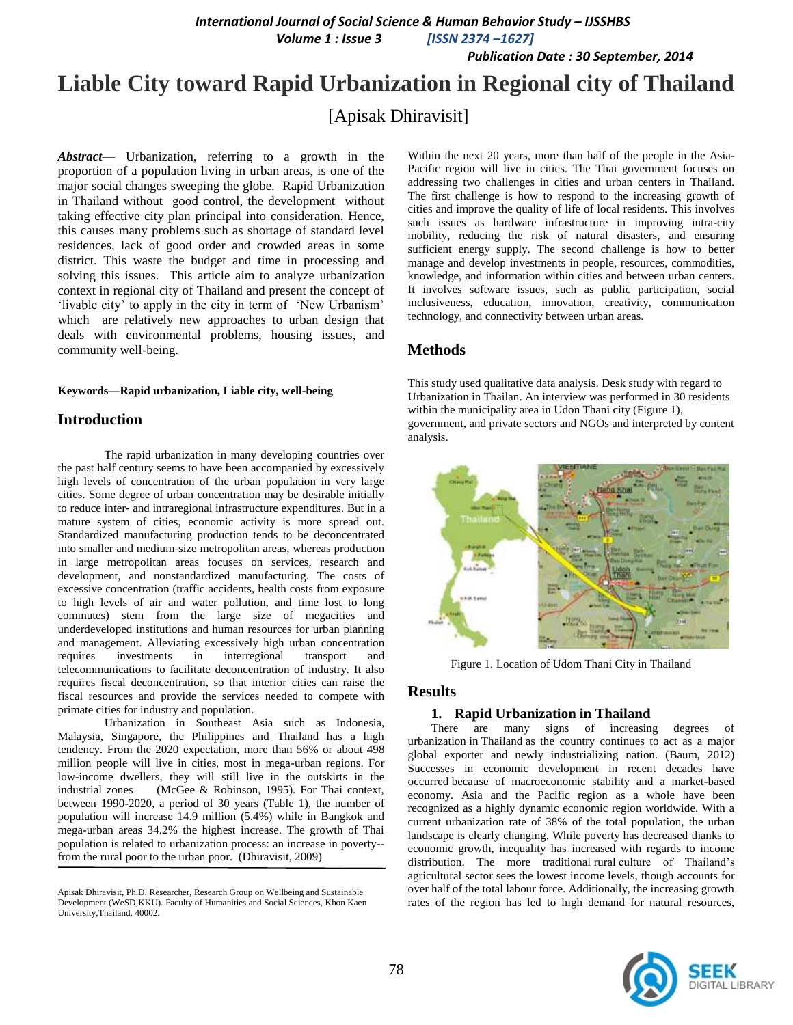*International Journal of Social Science & Human Behavior Study – IJSSHBS*

 *Volume 1 : Issue 3 [ISSN 2374 –1627]*

 *Publication Date : 30 September, 2014*

# **Liable City toward Rapid Urbanization in Regional city of Thailand**

# [Apisak Dhiravisit]

*Abstract*— Urbanization, referring to a growth in the proportion of a population living in urban areas, is one of the major social changes sweeping the globe. Rapid Urbanization in Thailand without good control, the development without taking effective city plan principal into consideration. Hence, this causes many problems such as shortage of standard level residences, lack of good order and crowded areas in some district. This waste the budget and time in processing and solving this issues. This article aim to analyze urbanization context in regional city of Thailand and present the concept of 'livable city' to apply in the city in term of 'New Urbanism' which are relatively new approaches to urban design that deals with environmental problems, housing issues, and community well-being.

#### **Keywords—Rapid urbanization, Liable city, well-being**

# **Introduction**

The rapid urbanization in many developing countries over the past half century seems to have been accompanied by excessively high levels of concentration of the urban population in very large cities. Some degree of urban concentration may be desirable initially to reduce inter‐ and intraregional infrastructure expenditures. But in a mature system of cities, economic activity is more spread out. Standardized manufacturing production tends to be deconcentrated into smaller and medium‐size metropolitan areas, whereas production in large metropolitan areas focuses on services, research and development, and nonstandardized manufacturing. The costs of excessive concentration (traffic accidents, health costs from exposure to high levels of air and water pollution, and time lost to long commutes) stem from the large size of megacities and underdeveloped institutions and human resources for urban planning and management. Alleviating excessively high urban concentration requires investments in interregional transport and telecommunications to facilitate deconcentration of industry. It also requires fiscal deconcentration, so that interior cities can raise the fiscal resources and provide the services needed to compete with primate cities for industry and population.

Urbanization in Southeast Asia such as Indonesia, Malaysia, Singapore, the Philippines and Thailand has a high tendency. From the 2020 expectation, more than 56% or about 498 million people will live in cities, most in mega-urban regions. For low-income dwellers, they will still live in the outskirts in the industrial zones (McGee & Robinson, 1995). For Thai context, between 1990-2020, a period of 30 years (Table 1), the number of population will increase 14.9 million (5.4%) while in Bangkok and mega-urban areas 34.2% the highest increase. The growth of Thai population is related to urbanization process: an increase in poverty- from the rural poor to the urban poor. (Dhiravisit, 2009)

Within the next 20 years, more than half of the people in the Asia-Pacific region will live in cities. The Thai government focuses on addressing two challenges in cities and urban centers in Thailand. The first challenge is how to respond to the increasing growth of cities and improve the quality of life of local residents. This involves such issues as hardware infrastructure in improving intra-city mobility, reducing the risk of natural disasters, and ensuring sufficient energy supply. The second challenge is how to better manage and develop investments in people, resources, commodities, knowledge, and information within cities and between urban centers. It involves software issues, such as public participation, social inclusiveness, education, innovation, creativity, communication technology, and connectivity between urban areas.

# **Methods**

This study used qualitative data analysis. Desk study with regard to Urbanization in Thailan. An interview was performed in 30 residents within the municipality area in Udon Thani city (Figure 1), government, and private sectors and NGOs and interpreted by content analysis.



Figure 1. Location of Udom Thani City in Thailand

#### **Results**

#### **1. Rapid Urbanization in Thailand**

There are many signs of increasing degrees of [urbanization](http://www.theurbn.com/2012/07/urbanization-is-not-the-problem-dealing-with-it-is/) in [Thailand](http://www.theurbn.com/2011/04/phuket-breathing-thailand/) as the country continues to act as a major global exporter and newly industrializing nation. (Baum, 2012) Successes in economic development in recent decades have occurred because of macroeconomic stability and a market-based economy. Asia and the Pacific region as a whole have been recognized as a highly dynamic economic region worldwide. With a current urbanization rate of 38% of the total population, the urban landscape is clearly changing. While poverty has decreased thanks to economic growth, inequality has increased with regards to income distribution. The more traditional [rural](http://www.theurbn.com/2012/06/landscape-to-deal-with-non-urbanism/) culture of Thailand's agricultural sector sees the lowest income levels, though accounts for over half of the total labour force. Additionally, the increasing growth rates of the region has led to [high demand for natural resources,](http://www.ecowaterinfra.org/activities/documents/Research%20and%20Analysis/Final%20report%20on%20Development%20of%20Eco-efficient%20Water.pdf)



Apisak Dhiravisit, Ph.D. Researcher, Research Group on Wellbeing and Sustainable Development (WeSD,KKU). Faculty of Humanities and Social Sciences, Khon Kaen University,Thailand, 40002.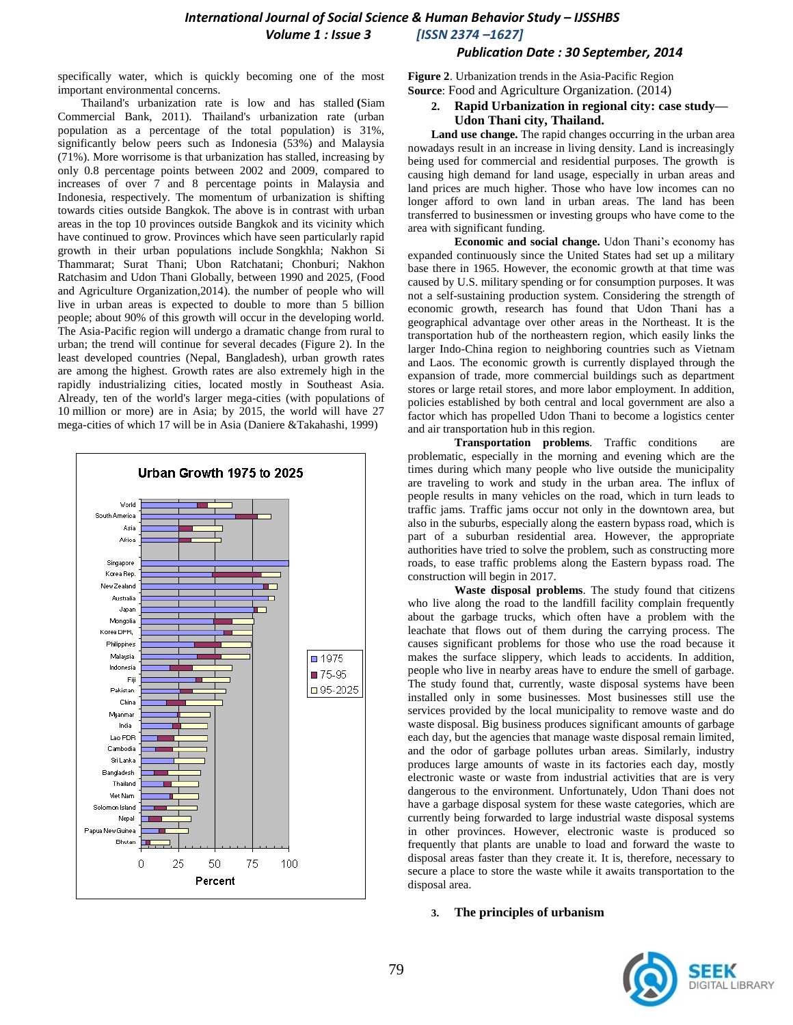#### *Publication Date : 30 September, 2014*

specifically water, which is quickly becoming one of the most important environmental concerns.

Thailand's urbanization rate is low and has stalled **(**Siam Commercial Bank, 2011). Thailand's urbanization rate (urban population as a percentage of the total population) is 31%, significantly below peers such as Indonesia (53%) and Malaysia (71%). More worrisome is that urbanization has stalled, increasing by only 0.8 percentage points between 2002 and 2009, compared to increases of over 7 and 8 percentage points in Malaysia and Indonesia, respectively. The momentum of urbanization is shifting towards cities outside Bangkok. The above is in contrast with urban areas in the top 10 provinces outside Bangkok and its vicinity which have continued to grow. Provinces which have seen particularly rapid growth in their urban populations include Songkhla; Nakhon Si Thammarat; Surat Thani; Ubon Ratchatani; Chonburi; Nakhon Ratchasim and Udon Thani Globally, between 1990 and 2025, (Food and Agriculture Organization,2014). the number of people who will live in urban areas is expected to double to more than 5 billion people; about 90% of this growth will occur in the developing world. The Asia-Pacific region will undergo a dramatic change from rural to urban; the trend will continue for several decades (Figure 2). In the least developed countries (Nepal, Bangladesh), urban growth rates are among the highest. Growth rates are also extremely high in the rapidly industrializing cities, located mostly in Southeast Asia. Already, ten of the world's larger mega-cities (with populations of 10 million or more) are in Asia; by 2015, the world will have 27 mega-cities of which 17 will be in Asia (Daniere &Takahashi, 1999)



**Figure 2**. Urbanization trends in the Asia-Pacific Region **Source**: Food and Agriculture Organization. (2014)

**2. Rapid Urbanization in regional city: case study— Udon Thani city, Thailand.**

**Land use change.** The rapid changes occurring in the urban area nowadays result in an increase in living density. Land is increasingly being used for commercial and residential purposes. The growth is causing high demand for land usage, especially in urban areas and land prices are much higher. Those who have low incomes can no longer afford to own land in urban areas. The land has been transferred to businessmen or investing groups who have come to the area with significant funding.

**Economic and social change.** Udon Thani's economy has expanded continuously since the United States had set up a military base there in 1965. However, the economic growth at that time was caused by U.S. military spending or for consumption purposes. It was not a self-sustaining production system. Considering the strength of economic growth, research has found that Udon Thani has a geographical advantage over other areas in the Northeast. It is the transportation hub of the northeastern region, which easily links the larger Indo-China region to neighboring countries such as Vietnam and Laos. The economic growth is currently displayed through the expansion of trade, more commercial buildings such as department stores or large retail stores, and more labor employment. In addition, policies established by both central and local government are also a factor which has propelled Udon Thani to become a logistics center and air transportation hub in this region.

**Transportation problems**. Traffic conditions are problematic, especially in the morning and evening which are the times during which many people who live outside the municipality are traveling to work and study in the urban area. The influx of people results in many vehicles on the road, which in turn leads to traffic jams. Traffic jams occur not only in the downtown area, but also in the suburbs, especially along the eastern bypass road, which is part of a suburban residential area. However, the appropriate authorities have tried to solve the problem, such as constructing more roads, to ease traffic problems along the Eastern bypass road. The construction will begin in 2017.

**Waste disposal problems**. The study found that citizens who live along the road to the landfill facility complain frequently about the garbage trucks, which often have a problem with the leachate that flows out of them during the carrying process. The causes significant problems for those who use the road because it makes the surface slippery, which leads to accidents. In addition, people who live in nearby areas have to endure the smell of garbage. The study found that, currently, waste disposal systems have been installed only in some businesses. Most businesses still use the services provided by the local municipality to remove waste and do waste disposal. Big business produces significant amounts of garbage each day, but the agencies that manage waste disposal remain limited, and the odor of garbage pollutes urban areas. Similarly, industry produces large amounts of waste in its factories each day, mostly electronic waste or waste from industrial activities that are is very dangerous to the environment. Unfortunately, Udon Thani does not have a garbage disposal system for these waste categories, which are currently being forwarded to large industrial waste disposal systems in other provinces. However, electronic waste is produced so frequently that plants are unable to load and forward the waste to disposal areas faster than they create it. It is, therefore, necessary to secure a place to store the waste while it awaits transportation to the disposal area.

#### **3. The principles of urbanism**

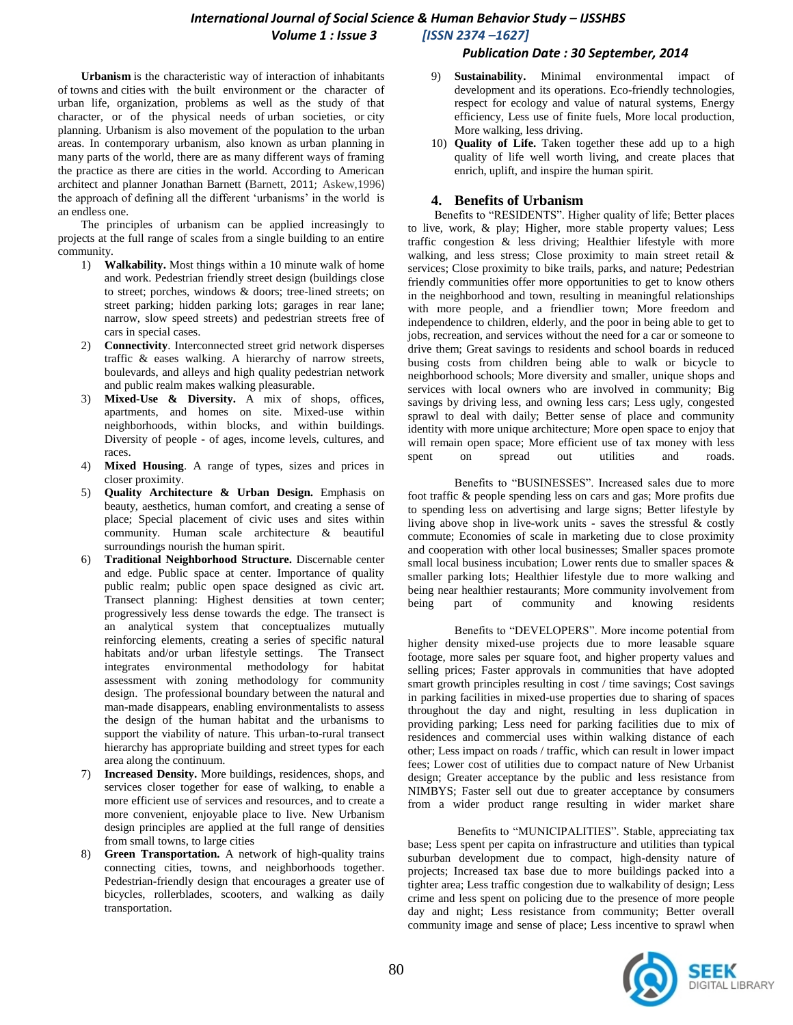### *International Journal of Social Science & Human Behavior Study – IJSSHBS Volume 1 : Issue 3 [ISSN 2374 –1627]*

#### *Publication Date : 30 September, 2014*

**Urbanism** is the characteristic way of interaction of inhabitants of [towns](http://en.wikipedia.org/wiki/Town) and [cities](http://en.wikipedia.org/wiki/Cities) with the built [environment](http://en.wikipedia.org/wiki/Built_environment) or the character of urban life, organization, problems as well as the study of that character, or of the physical needs of [urban societies,](http://en.wikipedia.org/wiki/Urban_sociology) or [city](http://en.wikipedia.org/wiki/City_planning)  [planning.](http://en.wikipedia.org/wiki/City_planning) Urbanism is also movement of the population to the urban areas. In contemporary urbanism, also known as [urban planning](http://en.wikipedia.org/wiki/Urban_planning) in many parts of the world, there are as many different ways of framing the practice as there are cities in the world. According to American architect and planner Jonathan Barnett (Barnett, 2011; Askew,1996) the approach of defining all the different 'urbanisms' in the world is an endless one.

The principles of urbanism can be applied increasingly to projects at the full range of scales from a single building to an entire community.

- 1) **Walkability.** Most things within a 10 minute walk of home and work. Pedestrian friendly street design (buildings close to street; porches, windows & doors; tree-lined streets; on street parking; hidden parking lots; garages in rear lane; narrow, slow speed streets) and pedestrian streets free of cars in special cases.
- 2) **Connectivity**. Interconnected street grid network disperses traffic & eases walking. A hierarchy of narrow streets, boulevards, and alleys and high quality pedestrian network and public realm makes walking pleasurable.
- 3) **Mixed-Use & Diversity.** A mix of shops, offices, apartments, and homes on site. Mixed-use within neighborhoods, within blocks, and within buildings. Diversity of people - of ages, income levels, cultures, and races.
- 4) **Mixed Housing**. A range of types, sizes and prices in closer proximity.
- 5) **Quality Architecture & Urban Design.** Emphasis on beauty, aesthetics, human comfort, and creating a sense of place; Special placement of civic uses and sites within community. Human scale architecture & beautiful surroundings nourish the human spirit.
- 6) **Traditional Neighborhood Structure.** Discernable center and edge. Public space at center. Importance of quality public realm; public open space designed as civic art. Transect planning: Highest densities at town center; progressively less dense towards the edge. The transect is an analytical system that conceptualizes mutually reinforcing elements, creating a series of specific natural habitats and/or urban lifestyle settings. The Transect integrates environmental methodology for habitat assessment with zoning methodology for community design. The professional boundary between the natural and man-made disappears, enabling environmentalists to assess the design of the human habitat and the urbanisms to support the viability of nature. This urban-to-rural transect hierarchy has appropriate building and street types for each area along the continuum.
- 7) **Increased Density.** More buildings, residences, shops, and services closer together for ease of walking, to enable a more efficient use of services and resources, and to create a more convenient, enjoyable place to live. New Urbanism design principles are applied at the full range of densities from small towns, to large cities
- 8) **Green Transportation.** A network of high-quality trains connecting cities, towns, and neighborhoods together. Pedestrian-friendly design that encourages a greater use of bicycles, rollerblades, scooters, and walking as daily transportation.
- 9) **Sustainability.** Minimal environmental impact of development and its operations. Eco-friendly technologies, respect for ecology and value of natural systems, Energy efficiency, Less use of finite fuels, More local production, More walking, less driving.
- 10) **Quality of Life.** Taken together these add up to a high quality of life well worth living, and create places that enrich, uplift, and inspire the human spirit.

# **4. Benefits of Urbanism**

Benefits to "RESIDENTS". Higher quality of life; Better places to live, work, & play; Higher, more stable property values; Less traffic congestion & less driving; Healthier lifestyle with more walking, and less stress; Close proximity to main street retail & services; Close proximity to bike trails, parks, and nature; Pedestrian friendly communities offer more opportunities to get to know others in the neighborhood and town, resulting in meaningful relationships with more people, and a friendlier town; More freedom and independence to children, elderly, and the poor in being able to get to jobs, recreation, and services without the need for a car or someone to drive them; Great savings to residents and school boards in reduced busing costs from children being able to walk or bicycle to neighborhood schools; More diversity and smaller, unique shops and services with local owners who are involved in community; Big savings by driving less, and owning less cars; Less ugly, congested sprawl to deal with daily; Better sense of place and community identity with more unique architecture; More open space to enjoy that will remain open space; More efficient use of tax money with less spent on spread out utilities and roads.

Benefits to "BUSINESSES". Increased sales due to more foot traffic & people spending less on cars and gas; More profits due to spending less on advertising and large signs; Better lifestyle by living above shop in live-work units - saves the stressful & costly commute; Economies of scale in marketing due to close proximity and cooperation with other local businesses; Smaller spaces promote small local business incubation; Lower rents due to smaller spaces  $\&$ smaller parking lots; Healthier lifestyle due to more walking and being near healthier restaurants; More community involvement from being part of community and knowing residents

Benefits to "DEVELOPERS". More income potential from higher density mixed-use projects due to more leasable square footage, more sales per square foot, and higher property values and selling prices; Faster approvals in communities that have adopted smart growth principles resulting in cost / time savings; Cost savings in parking facilities in mixed-use properties due to sharing of spaces throughout the day and night, resulting in less duplication in providing parking; Less need for parking facilities due to mix of residences and commercial uses within walking distance of each other; Less impact on roads / traffic, which can result in lower impact fees; Lower cost of utilities due to compact nature of New Urbanist design; Greater acceptance by the public and less resistance from NIMBYS; Faster sell out due to greater acceptance by consumers from a wider product range resulting in wider market share

Benefits to "MUNICIPALITIES". Stable, appreciating tax base; Less spent per capita on infrastructure and utilities than typical suburban development due to compact, high-density nature of projects; Increased tax base due to more buildings packed into a tighter area; Less traffic congestion due to walkability of design; Less crime and less spent on policing due to the presence of more people day and night; Less resistance from community; Better overall community image and sense of place; Less incentive to sprawl when